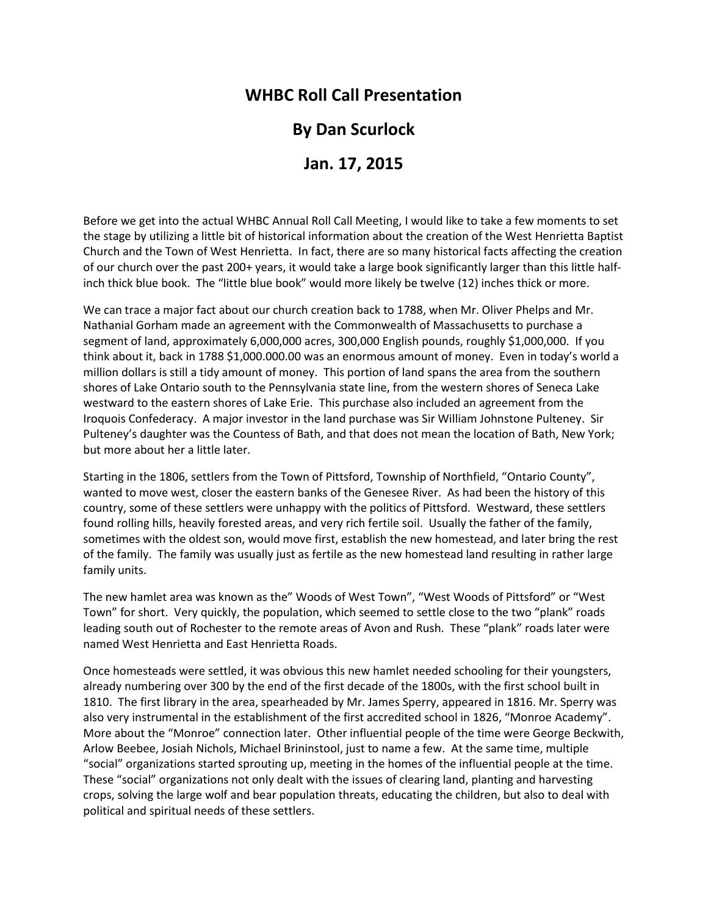## **WHBC Roll Call Presentation**

## **By Dan Scurlock**

## **Jan. 17, 2015**

Before we get into the actual WHBC Annual Roll Call Meeting, I would like to take a few moments to set the stage by utilizing a little bit of historical information about the creation of the West Henrietta Baptist Church and the Town of West Henrietta. In fact, there are so many historical facts affecting the creation of our church over the past 200+ years, it would take a large book significantly larger than this little halfinch thick blue book. The "little blue book" would more likely be twelve (12) inches thick or more.

We can trace a major fact about our church creation back to 1788, when Mr. Oliver Phelps and Mr. Nathanial Gorham made an agreement with the Commonwealth of Massachusetts to purchase a segment of land, approximately 6,000,000 acres, 300,000 English pounds, roughly \$1,000,000. If you think about it, back in 1788 \$1,000.000.00 was an enormous amount of money. Even in today's world a million dollars is still a tidy amount of money. This portion of land spans the area from the southern shores of Lake Ontario south to the Pennsylvania state line, from the western shores of Seneca Lake westward to the eastern shores of Lake Erie. This purchase also included an agreement from the Iroquois Confederacy. A major investor in the land purchase was Sir William Johnstone Pulteney. Sir Pulteney's daughter was the Countess of Bath, and that does not mean the location of Bath, New York; but more about her a little later.

Starting in the 1806, settlers from the Town of Pittsford, Township of Northfield, "Ontario County", wanted to move west, closer the eastern banks of the Genesee River. As had been the history of this country, some of these settlers were unhappy with the politics of Pittsford. Westward, these settlers found rolling hills, heavily forested areas, and very rich fertile soil. Usually the father of the family, sometimes with the oldest son, would move first, establish the new homestead, and later bring the rest of the family. The family was usually just as fertile as the new homestead land resulting in rather large family units.

The new hamlet area was known as the" Woods of West Town", "West Woods of Pittsford" or "West Town" for short. Very quickly, the population, which seemed to settle close to the two "plank" roads leading south out of Rochester to the remote areas of Avon and Rush. These "plank" roads later were named West Henrietta and East Henrietta Roads.

Once homesteads were settled, it was obvious this new hamlet needed schooling for their youngsters, already numbering over 300 by the end of the first decade of the 1800s, with the first school built in 1810. The first library in the area, spearheaded by Mr. James Sperry, appeared in 1816. Mr. Sperry was also very instrumental in the establishment of the first accredited school in 1826, "Monroe Academy". More about the "Monroe" connection later. Other influential people of the time were George Beckwith, Arlow Beebee, Josiah Nichols, Michael Brininstool, just to name a few. At the same time, multiple "social" organizations started sprouting up, meeting in the homes of the influential people at the time. These "social" organizations not only dealt with the issues of clearing land, planting and harvesting crops, solving the large wolf and bear population threats, educating the children, but also to deal with political and spiritual needs of these settlers.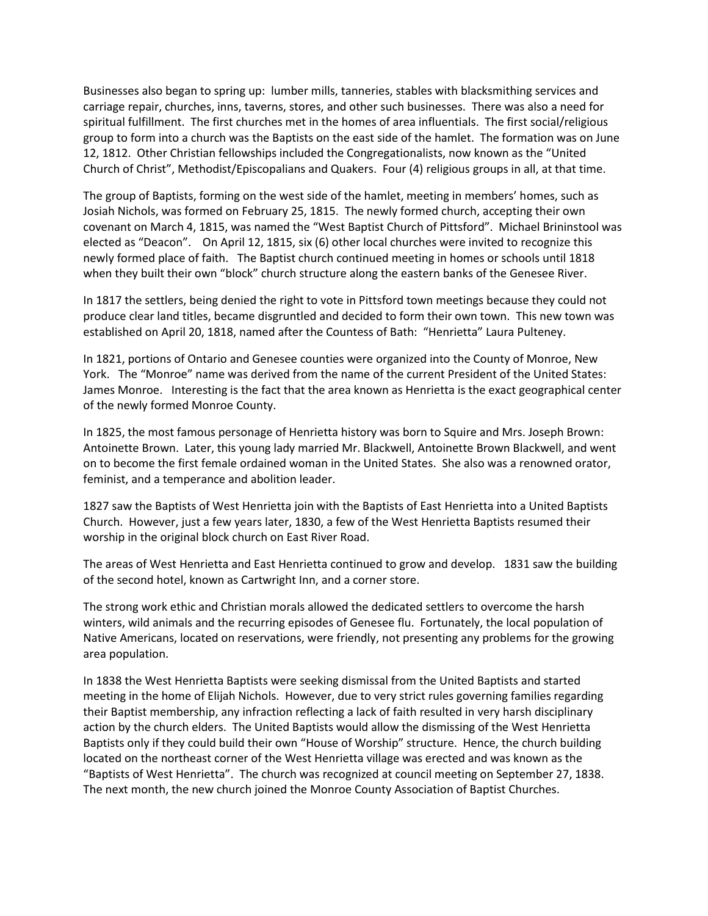Businesses also began to spring up: lumber mills, tanneries, stables with blacksmithing services and carriage repair, churches, inns, taverns, stores, and other such businesses. There was also a need for spiritual fulfillment. The first churches met in the homes of area influentials. The first social/religious group to form into a church was the Baptists on the east side of the hamlet. The formation was on June 12, 1812. Other Christian fellowships included the Congregationalists, now known as the "United Church of Christ", Methodist/Episcopalians and Quakers. Four (4) religious groups in all, at that time.

The group of Baptists, forming on the west side of the hamlet, meeting in members' homes, such as Josiah Nichols, was formed on February 25, 1815. The newly formed church, accepting their own covenant on March 4, 1815, was named the "West Baptist Church of Pittsford". Michael Brininstool was elected as "Deacon". On April 12, 1815, six (6) other local churches were invited to recognize this newly formed place of faith. The Baptist church continued meeting in homes or schools until 1818 when they built their own "block" church structure along the eastern banks of the Genesee River.

In 1817 the settlers, being denied the right to vote in Pittsford town meetings because they could not produce clear land titles, became disgruntled and decided to form their own town. This new town was established on April 20, 1818, named after the Countess of Bath: "Henrietta" Laura Pulteney.

In 1821, portions of Ontario and Genesee counties were organized into the County of Monroe, New York. The "Monroe" name was derived from the name of the current President of the United States: James Monroe. Interesting is the fact that the area known as Henrietta is the exact geographical center of the newly formed Monroe County.

In 1825, the most famous personage of Henrietta history was born to Squire and Mrs. Joseph Brown: Antoinette Brown. Later, this young lady married Mr. Blackwell, Antoinette Brown Blackwell, and went on to become the first female ordained woman in the United States. She also was a renowned orator, feminist, and a temperance and abolition leader.

1827 saw the Baptists of West Henrietta join with the Baptists of East Henrietta into a United Baptists Church. However, just a few years later, 1830, a few of the West Henrietta Baptists resumed their worship in the original block church on East River Road.

The areas of West Henrietta and East Henrietta continued to grow and develop. 1831 saw the building of the second hotel, known as Cartwright Inn, and a corner store.

The strong work ethic and Christian morals allowed the dedicated settlers to overcome the harsh winters, wild animals and the recurring episodes of Genesee flu. Fortunately, the local population of Native Americans, located on reservations, were friendly, not presenting any problems for the growing area population.

In 1838 the West Henrietta Baptists were seeking dismissal from the United Baptists and started meeting in the home of Elijah Nichols. However, due to very strict rules governing families regarding their Baptist membership, any infraction reflecting a lack of faith resulted in very harsh disciplinary action by the church elders. The United Baptists would allow the dismissing of the West Henrietta Baptists only if they could build their own "House of Worship" structure. Hence, the church building located on the northeast corner of the West Henrietta village was erected and was known as the "Baptists of West Henrietta". The church was recognized at council meeting on September 27, 1838. The next month, the new church joined the Monroe County Association of Baptist Churches.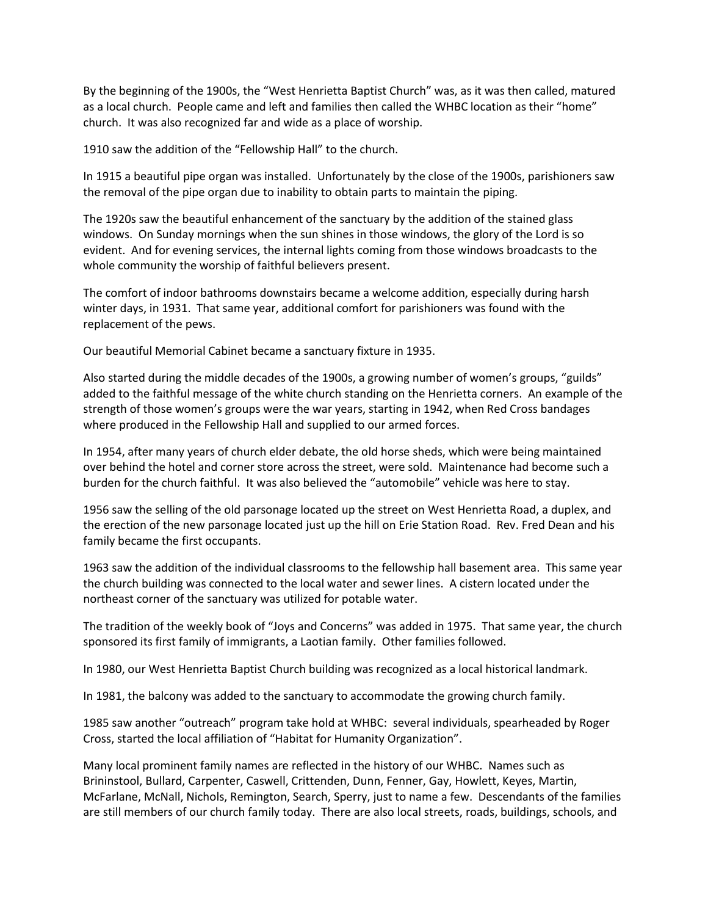By the beginning of the 1900s, the "West Henrietta Baptist Church" was, as it was then called, matured as a local church. People came and left and families then called the WHBC location as their "home" church. It was also recognized far and wide as a place of worship.

1910 saw the addition of the "Fellowship Hall" to the church.

In 1915 a beautiful pipe organ was installed. Unfortunately by the close of the 1900s, parishioners saw the removal of the pipe organ due to inability to obtain parts to maintain the piping.

The 1920s saw the beautiful enhancement of the sanctuary by the addition of the stained glass windows. On Sunday mornings when the sun shines in those windows, the glory of the Lord is so evident. And for evening services, the internal lights coming from those windows broadcasts to the whole community the worship of faithful believers present.

The comfort of indoor bathrooms downstairs became a welcome addition, especially during harsh winter days, in 1931. That same year, additional comfort for parishioners was found with the replacement of the pews.

Our beautiful Memorial Cabinet became a sanctuary fixture in 1935.

Also started during the middle decades of the 1900s, a growing number of women's groups, "guilds" added to the faithful message of the white church standing on the Henrietta corners. An example of the strength of those women's groups were the war years, starting in 1942, when Red Cross bandages where produced in the Fellowship Hall and supplied to our armed forces.

In 1954, after many years of church elder debate, the old horse sheds, which were being maintained over behind the hotel and corner store across the street, were sold. Maintenance had become such a burden for the church faithful. It was also believed the "automobile" vehicle was here to stay.

1956 saw the selling of the old parsonage located up the street on West Henrietta Road, a duplex, and the erection of the new parsonage located just up the hill on Erie Station Road. Rev. Fred Dean and his family became the first occupants.

1963 saw the addition of the individual classrooms to the fellowship hall basement area. This same year the church building was connected to the local water and sewer lines. A cistern located under the northeast corner of the sanctuary was utilized for potable water.

The tradition of the weekly book of "Joys and Concerns" was added in 1975. That same year, the church sponsored its first family of immigrants, a Laotian family. Other families followed.

In 1980, our West Henrietta Baptist Church building was recognized as a local historical landmark.

In 1981, the balcony was added to the sanctuary to accommodate the growing church family.

1985 saw another "outreach" program take hold at WHBC: several individuals, spearheaded by Roger Cross, started the local affiliation of "Habitat for Humanity Organization".

Many local prominent family names are reflected in the history of our WHBC. Names such as Brininstool, Bullard, Carpenter, Caswell, Crittenden, Dunn, Fenner, Gay, Howlett, Keyes, Martin, McFarlane, McNall, Nichols, Remington, Search, Sperry, just to name a few. Descendants of the families are still members of our church family today. There are also local streets, roads, buildings, schools, and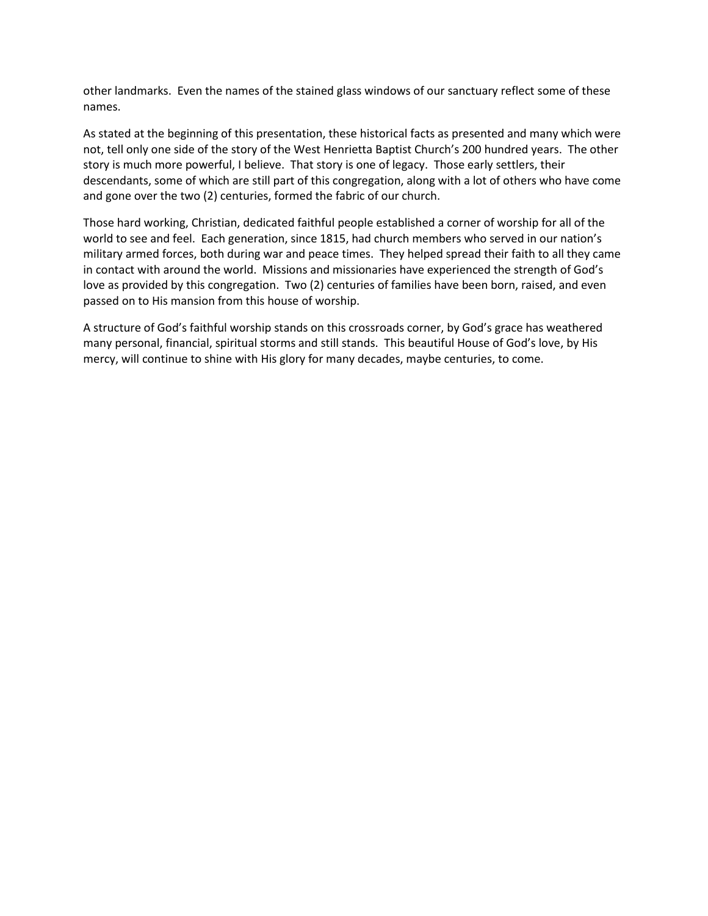other landmarks. Even the names of the stained glass windows of our sanctuary reflect some of these names.

As stated at the beginning of this presentation, these historical facts as presented and many which were not, tell only one side of the story of the West Henrietta Baptist Church's 200 hundred years. The other story is much more powerful, I believe. That story is one of legacy. Those early settlers, their descendants, some of which are still part of this congregation, along with a lot of others who have come and gone over the two (2) centuries, formed the fabric of our church.

Those hard working, Christian, dedicated faithful people established a corner of worship for all of the world to see and feel. Each generation, since 1815, had church members who served in our nation's military armed forces, both during war and peace times. They helped spread their faith to all they came in contact with around the world. Missions and missionaries have experienced the strength of God's love as provided by this congregation. Two (2) centuries of families have been born, raised, and even passed on to His mansion from this house of worship.

A structure of God's faithful worship stands on this crossroads corner, by God's grace has weathered many personal, financial, spiritual storms and still stands. This beautiful House of God's love, by His mercy, will continue to shine with His glory for many decades, maybe centuries, to come.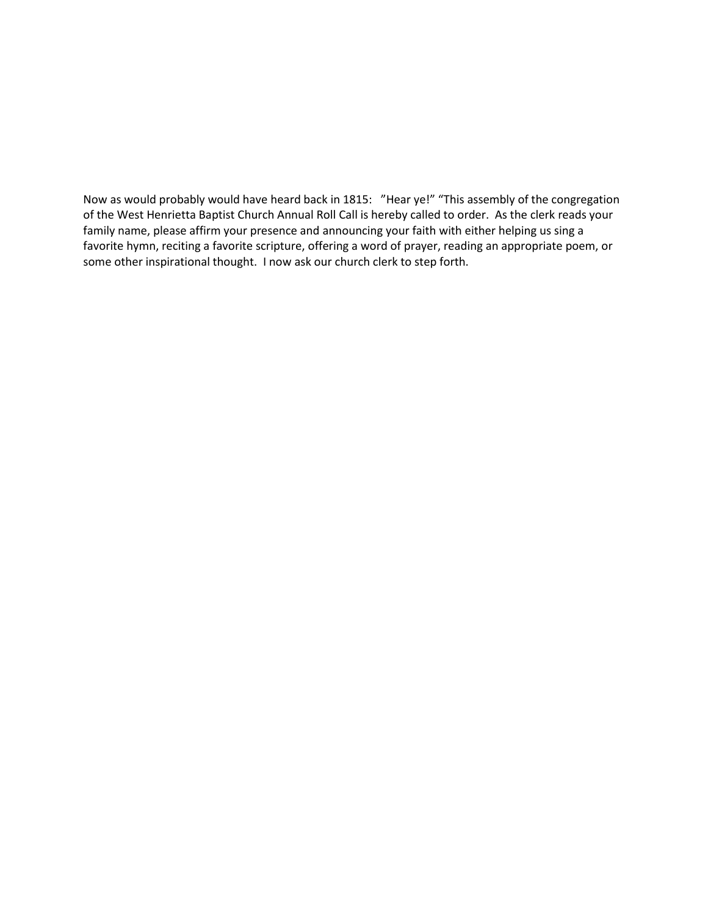Now as would probably would have heard back in 1815: "Hear ye!" "This assembly of the congregation of the West Henrietta Baptist Church Annual Roll Call is hereby called to order. As the clerk reads your family name, please affirm your presence and announcing your faith with either helping us sing a favorite hymn, reciting a favorite scripture, offering a word of prayer, reading an appropriate poem, or some other inspirational thought. I now ask our church clerk to step forth.